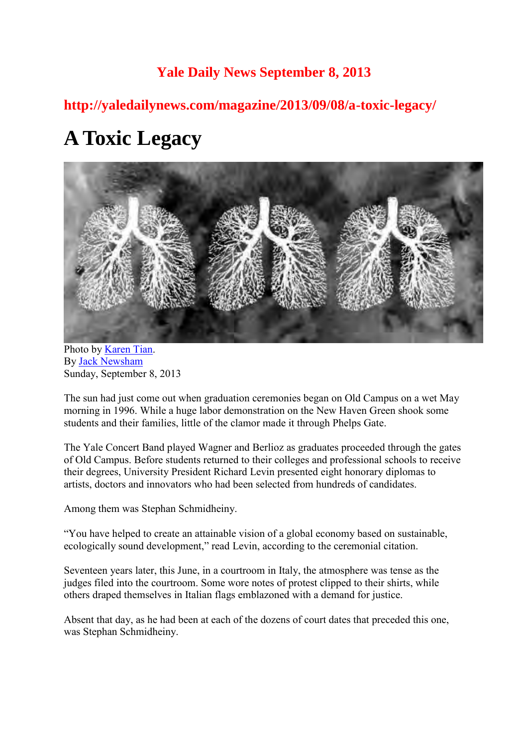# **Yale Daily News September 8, 2013**

**http://yaledailynews.com/magazine/2013/09/08/a-toxic-legacy/** 

# **A Toxic Legacy**



Photo by [Karen Tian.](http://yaledailynews.com/magazine/author/karentian/) By [Jack Newsham](http://yaledailynews.com/magazine/author/jacknewsham/) Sunday, September 8, 2013

The sun had just come out when graduation ceremonies began on Old Campus on a wet May morning in 1996. While a huge labor demonstration on the New Haven Green shook some students and their families, little of the clamor made it through Phelps Gate.

The Yale Concert Band played Wagner and Berlioz as graduates proceeded through the gates of Old Campus. Before students returned to their colleges and professional schools to receive their degrees, University President Richard Levin presented eight honorary diplomas to artists, doctors and innovators who had been selected from hundreds of candidates.

Among them was Stephan Schmidheiny.

"You have helped to create an attainable vision of a global economy based on sustainable, ecologically sound development," read Levin, according to the ceremonial citation.

Seventeen years later, this June, in a courtroom in Italy, the atmosphere was tense as the judges filed into the courtroom. Some wore notes of protest clipped to their shirts, while others draped themselves in Italian flags emblazoned with a demand for justice.

Absent that day, as he had been at each of the dozens of court dates that preceded this one, was Stephan Schmidheiny.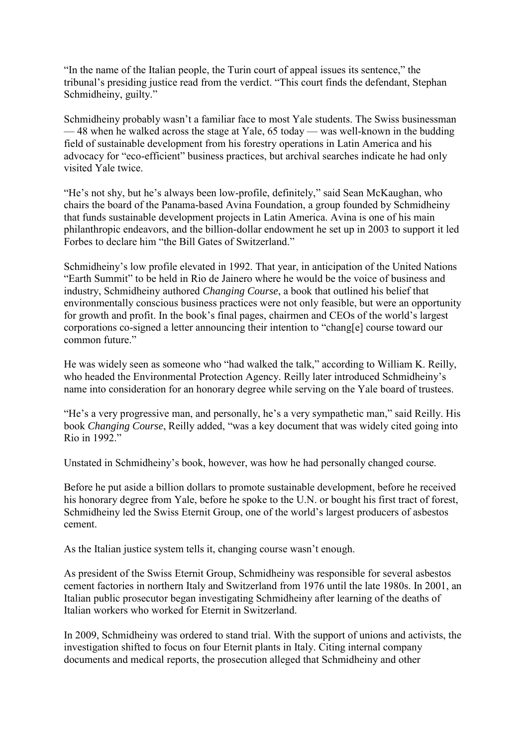"In the name of the Italian people, the Turin court of appeal issues its sentence," the tribunal's presiding justice read from the verdict. "This court finds the defendant, Stephan Schmidheiny, guilty."

Schmidheiny probably wasn't a familiar face to most Yale students. The Swiss businessman — 48 when he walked across the stage at Yale, 65 today — was well-known in the budding field of sustainable development from his forestry operations in Latin America and his advocacy for "eco-efficient" business practices, but archival searches indicate he had only visited Yale twice.

"He's not shy, but he's always been low-profile, definitely," said Sean McKaughan, who chairs the board of the Panama-based Avina Foundation, a group founded by Schmidheiny that funds sustainable development projects in Latin America. Avina is one of his main philanthropic endeavors, and the billion-dollar endowment he set up in 2003 to support it led Forbes to declare him "the Bill Gates of Switzerland."

Schmidheiny's low profile elevated in 1992. That year, in anticipation of the United Nations "Earth Summit" to be held in Rio de Jainero where he would be the voice of business and industry, Schmidheiny authored *Changing Course*, a book that outlined his belief that environmentally conscious business practices were not only feasible, but were an opportunity for growth and profit. In the book's final pages, chairmen and CEOs of the world's largest corporations co-signed a letter announcing their intention to "chang[e] course toward our common future."

He was widely seen as someone who "had walked the talk," according to William K. Reilly, who headed the Environmental Protection Agency. Reilly later introduced Schmidheiny's name into consideration for an honorary degree while serving on the Yale board of trustees.

"He's a very progressive man, and personally, he's a very sympathetic man," said Reilly. His book *Changing Course*, Reilly added, "was a key document that was widely cited going into Rio in 1992."

Unstated in Schmidheiny's book, however, was how he had personally changed course.

Before he put aside a billion dollars to promote sustainable development, before he received his honorary degree from Yale, before he spoke to the U.N. or bought his first tract of forest, Schmidheiny led the Swiss Eternit Group, one of the world's largest producers of asbestos cement.

As the Italian justice system tells it, changing course wasn't enough.

As president of the Swiss Eternit Group, Schmidheiny was responsible for several asbestos cement factories in northern Italy and Switzerland from 1976 until the late 1980s. In 2001, an Italian public prosecutor began investigating Schmidheiny after learning of the deaths of Italian workers who worked for Eternit in Switzerland.

In 2009, Schmidheiny was ordered to stand trial. With the support of unions and activists, the investigation shifted to focus on four Eternit plants in Italy. Citing internal company documents and medical reports, the prosecution alleged that Schmidheiny and other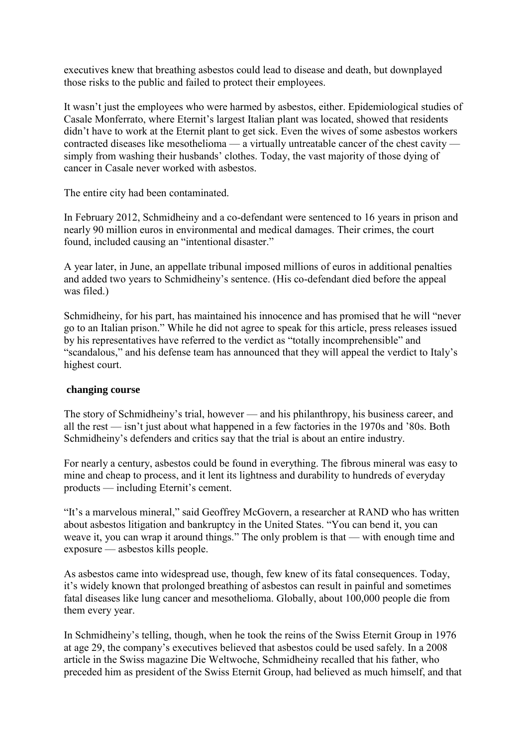executives knew that breathing asbestos could lead to disease and death, but downplayed those risks to the public and failed to protect their employees.

It wasn't just the employees who were harmed by asbestos, either. Epidemiological studies of Casale Monferrato, where Eternit's largest Italian plant was located, showed that residents didn't have to work at the Eternit plant to get sick. Even the wives of some asbestos workers contracted diseases like mesothelioma — a virtually untreatable cancer of the chest cavity simply from washing their husbands' clothes. Today, the vast majority of those dying of cancer in Casale never worked with asbestos.

The entire city had been contaminated.

In February 2012, Schmidheiny and a co-defendant were sentenced to 16 years in prison and nearly 90 million euros in environmental and medical damages. Their crimes, the court found, included causing an "intentional disaster."

A year later, in June, an appellate tribunal imposed millions of euros in additional penalties and added two years to Schmidheiny's sentence. (His co-defendant died before the appeal was filed.)

Schmidheiny, for his part, has maintained his innocence and has promised that he will "never go to an Italian prison." While he did not agree to speak for this article, press releases issued by his representatives have referred to the verdict as "totally incomprehensible" and "scandalous," and his defense team has announced that they will appeal the verdict to Italy's highest court.

#### **changing course**

The story of Schmidheiny's trial, however — and his philanthropy, his business career, and all the rest — isn't just about what happened in a few factories in the 1970s and '80s. Both Schmidheiny's defenders and critics say that the trial is about an entire industry.

For nearly a century, asbestos could be found in everything. The fibrous mineral was easy to mine and cheap to process, and it lent its lightness and durability to hundreds of everyday products — including Eternit's cement.

"It's a marvelous mineral," said Geoffrey McGovern, a researcher at RAND who has written about asbestos litigation and bankruptcy in the United States. "You can bend it, you can weave it, you can wrap it around things." The only problem is that — with enough time and exposure — asbestos kills people.

As asbestos came into widespread use, though, few knew of its fatal consequences. Today, it's widely known that prolonged breathing of asbestos can result in painful and sometimes fatal diseases like lung cancer and mesothelioma. Globally, about 100,000 people die from them every year.

In Schmidheiny's telling, though, when he took the reins of the Swiss Eternit Group in 1976 at age 29, the company's executives believed that asbestos could be used safely. In a 2008 article in the Swiss magazine Die Weltwoche, Schmidheiny recalled that his father, who preceded him as president of the Swiss Eternit Group, had believed as much himself, and that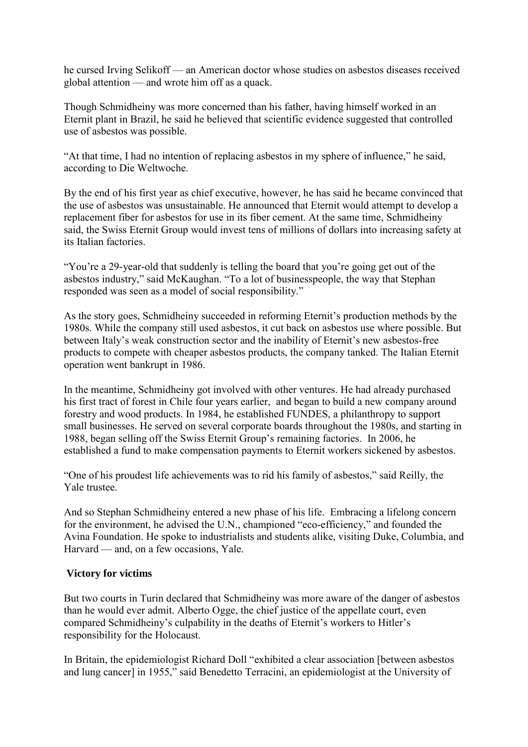he cursed Irving Selikoff — an American doctor whose studies on asbestos diseases received global attention — and wrote him off as a quack.

Though Schmidheiny was more concerned than his father, having himself worked in an Eternit plant in Brazil, he said he believed that scientific evidence suggested that controlled use of asbestos was possible.

"At that time, I had no intention of replacing asbestos in my sphere of influence," he said, according to Die Weltwoche.

By the end of his first year as chief executive, however, he has said he became convinced that the use of asbestos was unsustainable. He announced that Eternit would attempt to develop a replacement fiber for asbestos for use in its fiber cement. At the same time, Schmidheiny said, the Swiss Eternit Group would invest tens of millions of dollars into increasing safety at its Italian factories.

"You're a 29-year-old that suddenly is telling the board that you're going get out of the asbestos industry," said McKaughan. "To a lot of businesspeople, the way that Stephan responded was seen as a model of social responsibility."

As the story goes, Schmidheiny succeeded in reforming Eternit's production methods by the 1980s. While the company still used asbestos, it cut back on asbestos use where possible. But between Italy's weak construction sector and the inability of Eternit's new asbestos-free products to compete with cheaper asbestos products, the company tanked. The Italian Eternit operation went bankrupt in 1986.

In the meantime, Schmidheiny got involved with other ventures. He had already purchased his first tract of forest in Chile four years earlier, and began to build a new company around forestry and wood products. In 1984, he established FUNDES, a philanthropy to support small businesses. He served on several corporate boards throughout the 1980s, and starting in 1988, began selling off the Swiss Eternit Group's remaining factories. In 2006, he established a fund to make compensation payments to Eternit workers sickened by asbestos.

"One of his proudest life achievements was to rid his family of asbestos," said Reilly, the Yale trustee.

And so Stephan Schmidheiny entered a new phase of his life. Embracing a lifelong concern for the environment, he advised the U.N., championed "eco-efficiency," and founded the Avina Foundation. He spoke to industrialists and students alike, visiting Duke, Columbia, and Harvard — and, on a few occasions, Yale.

## **Victory for victims**

But two courts in Turin declared that Schmidheiny was more aware of the danger of asbestos than he would ever admit. Alberto Ogge, the chief justice of the appellate court, even compared Schmidheiny's culpability in the deaths of Eternit's workers to Hitler's responsibility for the Holocaust.

In Britain, the epidemiologist Richard Doll "exhibited a clear association [between asbestos and lung cancer] in 1955," said Benedetto Terracini, an epidemiologist at the University of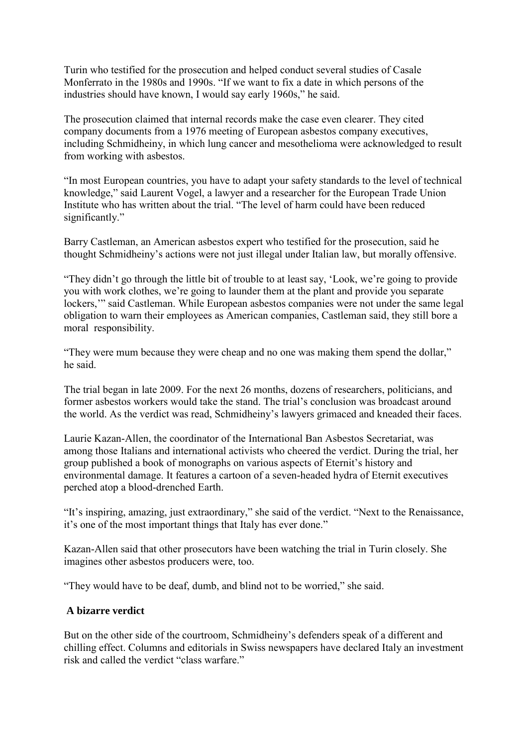Turin who testified for the prosecution and helped conduct several studies of Casale Monferrato in the 1980s and 1990s. "If we want to fix a date in which persons of the industries should have known, I would say early 1960s," he said.

The prosecution claimed that internal records make the case even clearer. They cited company documents from a 1976 meeting of European asbestos company executives, including Schmidheiny, in which lung cancer and mesothelioma were acknowledged to result from working with asbestos.

"In most European countries, you have to adapt your safety standards to the level of technical knowledge," said Laurent Vogel, a lawyer and a researcher for the European Trade Union Institute who has written about the trial. "The level of harm could have been reduced significantly."

Barry Castleman, an American asbestos expert who testified for the prosecution, said he thought Schmidheiny's actions were not just illegal under Italian law, but morally offensive.

"They didn't go through the little bit of trouble to at least say, 'Look, we're going to provide you with work clothes, we're going to launder them at the plant and provide you separate lockers," said Castleman. While European asbestos companies were not under the same legal obligation to warn their employees as American companies, Castleman said, they still bore a moral responsibility.

"They were mum because they were cheap and no one was making them spend the dollar," he said.

The trial began in late 2009. For the next 26 months, dozens of researchers, politicians, and former asbestos workers would take the stand. The trial's conclusion was broadcast around the world. As the verdict was read, Schmidheiny's lawyers grimaced and kneaded their faces.

Laurie Kazan-Allen, the coordinator of the International Ban Asbestos Secretariat, was among those Italians and international activists who cheered the verdict. During the trial, her group published a book of monographs on various aspects of Eternit's history and environmental damage. It features a cartoon of a seven-headed hydra of Eternit executives perched atop a blood-drenched Earth.

"It's inspiring, amazing, just extraordinary," she said of the verdict. "Next to the Renaissance, it's one of the most important things that Italy has ever done."

Kazan-Allen said that other prosecutors have been watching the trial in Turin closely. She imagines other asbestos producers were, too.

"They would have to be deaf, dumb, and blind not to be worried," she said.

## **A bizarre verdict**

But on the other side of the courtroom, Schmidheiny's defenders speak of a different and chilling effect. Columns and editorials in Swiss newspapers have declared Italy an investment risk and called the verdict "class warfare."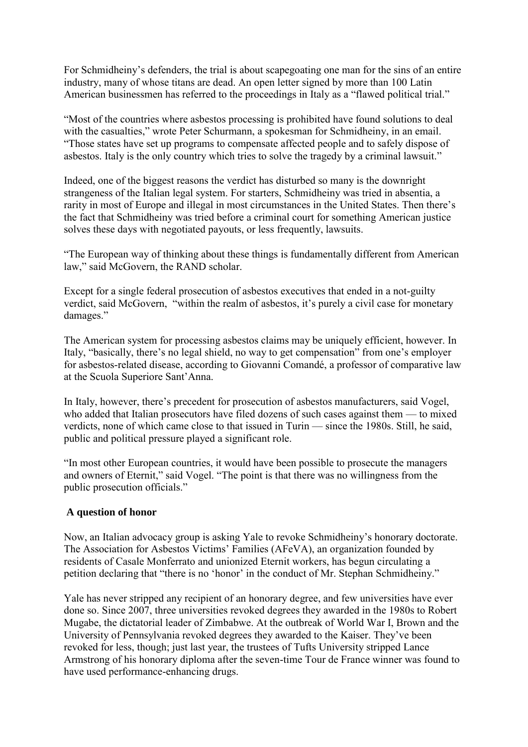For Schmidheiny's defenders, the trial is about scapegoating one man for the sins of an entire industry, many of whose titans are dead. An open letter signed by more than 100 Latin American businessmen has referred to the proceedings in Italy as a "flawed political trial."

"Most of the countries where asbestos processing is prohibited have found solutions to deal with the casualties," wrote Peter Schurmann, a spokesman for Schmidheiny, in an email. "Those states have set up programs to compensate affected people and to safely dispose of asbestos. Italy is the only country which tries to solve the tragedy by a criminal lawsuit."

Indeed, one of the biggest reasons the verdict has disturbed so many is the downright strangeness of the Italian legal system. For starters, Schmidheiny was tried in absentia, a rarity in most of Europe and illegal in most circumstances in the United States. Then there's the fact that Schmidheiny was tried before a criminal court for something American justice solves these days with negotiated payouts, or less frequently, lawsuits.

"The European way of thinking about these things is fundamentally different from American law," said McGovern, the RAND scholar.

Except for a single federal prosecution of asbestos executives that ended in a not-guilty verdict, said McGovern, "within the realm of asbestos, it's purely a civil case for monetary damages."

The American system for processing asbestos claims may be uniquely efficient, however. In Italy, "basically, there's no legal shield, no way to get compensation" from one's employer for asbestos-related disease, according to Giovanni Comandé, a professor of comparative law at the Scuola Superiore Sant'Anna.

In Italy, however, there's precedent for prosecution of asbestos manufacturers, said Vogel, who added that Italian prosecutors have filed dozens of such cases against them — to mixed verdicts, none of which came close to that issued in Turin — since the 1980s. Still, he said, public and political pressure played a significant role.

"In most other European countries, it would have been possible to prosecute the managers and owners of Eternit," said Vogel. "The point is that there was no willingness from the public prosecution officials."

#### **A question of honor**

Now, an Italian advocacy group is asking Yale to revoke Schmidheiny's honorary doctorate. The Association for Asbestos Victims' Families (AFeVA), an organization founded by residents of Casale Monferrato and unionized Eternit workers, has begun circulating a petition declaring that "there is no 'honor' in the conduct of Mr. Stephan Schmidheiny."

Yale has never stripped any recipient of an honorary degree, and few universities have ever done so. Since 2007, three universities revoked degrees they awarded in the 1980s to Robert Mugabe, the dictatorial leader of Zimbabwe. At the outbreak of World War I, Brown and the University of Pennsylvania revoked degrees they awarded to the Kaiser. They've been revoked for less, though; just last year, the trustees of Tufts University stripped Lance Armstrong of his honorary diploma after the seven-time Tour de France winner was found to have used performance-enhancing drugs.